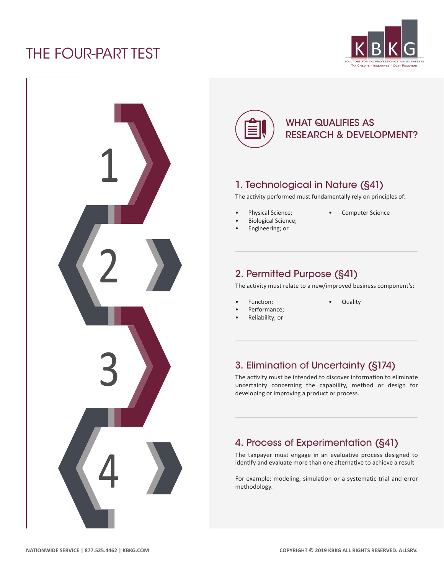# THE FOUR-PART TEST







### WHAT QUALIFIES AS RESEARCH & DEVELOPMENT?

### 1. Technological in Nature (§41)

The activity performed must fundamentally rely on principles of:

- Physical Science;
- Biological Science;
- Engineering; or
- Computer Science

### 2. Permitted Purpose (§41)

The activity must relate to a new/improved business component's:

• Quality

- Function;
- Performance;
- Reliability; or

#### 3. Elimination of Uncertainty (§174)

The activity must be intended to discover information to eliminate uncertainty concerning the capability, method or design for developing or improving a product or process.

### 4. Process of Experimentation (§41)

The taxpayer must engage in an evaluative process designed to identify and evaluate more than one alternative to achieve a result

For example: modeling, simulation or a systematic trial and error methodology.